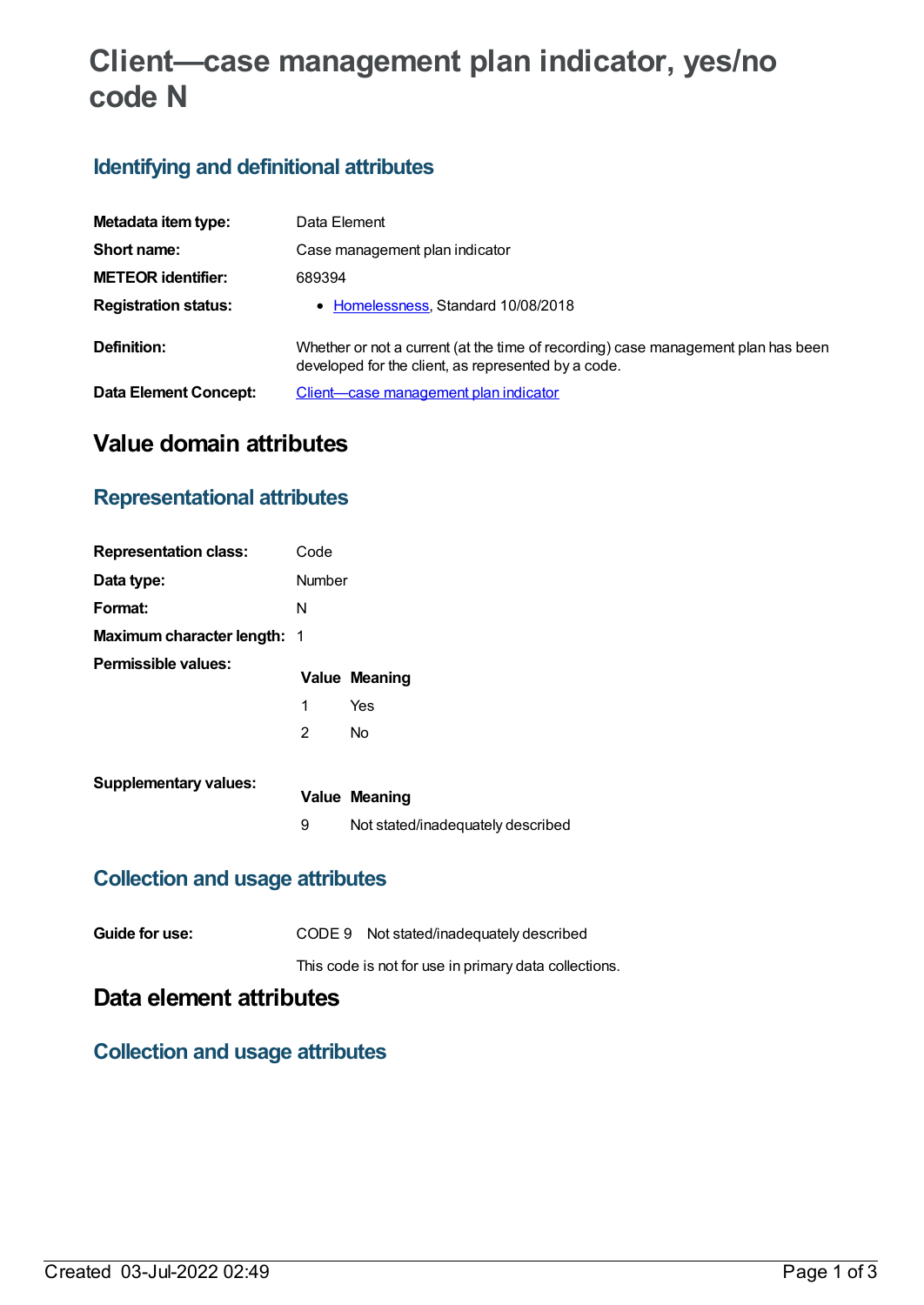# **Client—case management plan indicator, yes/no code N**

### **Identifying and definitional attributes**

| Metadata item type:          | Data Element                                                                                                                             |
|------------------------------|------------------------------------------------------------------------------------------------------------------------------------------|
| Short name:                  | Case management plan indicator                                                                                                           |
| <b>METEOR identifier:</b>    | 689394                                                                                                                                   |
| <b>Registration status:</b>  | • Homelessness, Standard 10/08/2018                                                                                                      |
| Definition:                  | Whether or not a current (at the time of recording) case management plan has been<br>developed for the client, as represented by a code. |
| <b>Data Element Concept:</b> | Client—case management plan indicator                                                                                                    |

## **Value domain attributes**

#### **Representational attributes**

| <b>Representation class:</b>       | Code   |                      |
|------------------------------------|--------|----------------------|
| Data type:                         | Number |                      |
| Format:                            | N      |                      |
| <b>Maximum character length: 1</b> |        |                      |
| Permissible values:                |        |                      |
|                                    |        | <b>Value Meaning</b> |
|                                    | 1      | Yes                  |
|                                    | 2      | No                   |

| ANINGINALY VANASSI | <b>Value Meaning</b>              |
|--------------------|-----------------------------------|
|                    | Not stated/inadequately described |

### **Collection and usage attributes**

| Guide for use: | CODE 9 Not stated/inadequately described              |
|----------------|-------------------------------------------------------|
|                | This code is not for use in primary data collections. |

## **Data element attributes**

### **Collection and usage attributes**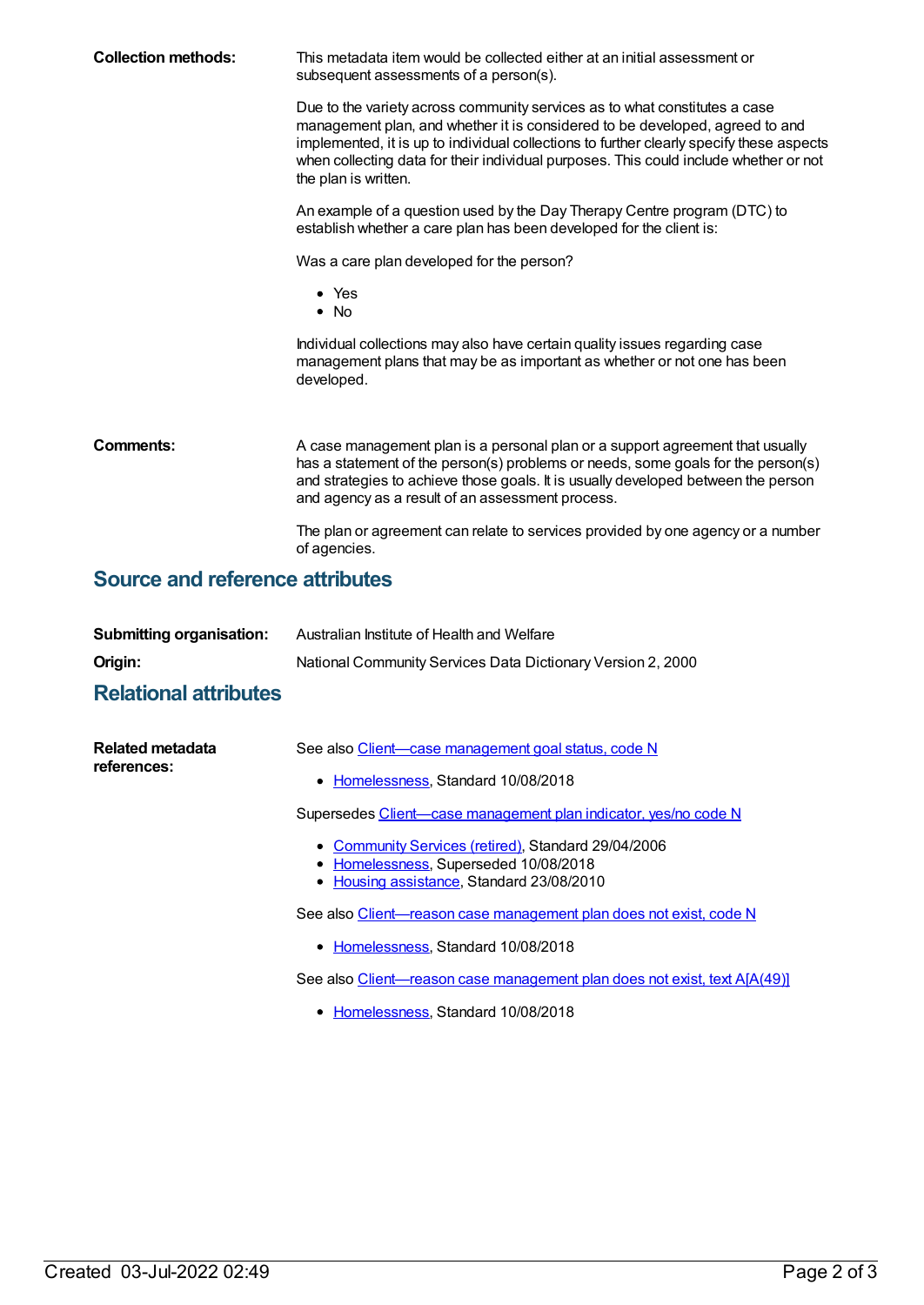| <b>Collection methods:</b>             | This metadata item would be collected either at an initial assessment or<br>subsequent assessments of a person(s).<br>Due to the variety across community services as to what constitutes a case<br>management plan, and whether it is considered to be developed, agreed to and<br>implemented, it is up to individual collections to further clearly specify these aspects<br>when collecting data for their individual purposes. This could include whether or not<br>the plan is written.<br>An example of a question used by the Day Therapy Centre program (DTC) to<br>establish whether a care plan has been developed for the client is: |  |  |  |
|----------------------------------------|--------------------------------------------------------------------------------------------------------------------------------------------------------------------------------------------------------------------------------------------------------------------------------------------------------------------------------------------------------------------------------------------------------------------------------------------------------------------------------------------------------------------------------------------------------------------------------------------------------------------------------------------------|--|--|--|
|                                        |                                                                                                                                                                                                                                                                                                                                                                                                                                                                                                                                                                                                                                                  |  |  |  |
|                                        |                                                                                                                                                                                                                                                                                                                                                                                                                                                                                                                                                                                                                                                  |  |  |  |
|                                        | $\bullet$ Yes<br>$\bullet$ No                                                                                                                                                                                                                                                                                                                                                                                                                                                                                                                                                                                                                    |  |  |  |
|                                        | Individual collections may also have certain quality issues regarding case<br>management plans that may be as important as whether or not one has been<br>developed.                                                                                                                                                                                                                                                                                                                                                                                                                                                                             |  |  |  |
| Comments:                              | A case management plan is a personal plan or a support agreement that usually<br>has a statement of the person(s) problems or needs, some goals for the person(s)<br>and strategies to achieve those goals. It is usually developed between the person<br>and agency as a result of an assessment process.                                                                                                                                                                                                                                                                                                                                       |  |  |  |
|                                        | The plan or agreement can relate to services provided by one agency or a number<br>of agencies.                                                                                                                                                                                                                                                                                                                                                                                                                                                                                                                                                  |  |  |  |
| <b>Source and reference attributes</b> |                                                                                                                                                                                                                                                                                                                                                                                                                                                                                                                                                                                                                                                  |  |  |  |

## **Submitting organisation:** Australian Institute of Health and Welfare **Origin:** National Community Services Data Dictionary Version 2, 2000

#### **Relational attributes**

| Related metadata<br>references: | See also Client—case management goal status, code N                                                                                       |
|---------------------------------|-------------------------------------------------------------------------------------------------------------------------------------------|
|                                 | • Homelessness, Standard 10/08/2018                                                                                                       |
|                                 | Supersedes Client—case management plan indicator, yes/no code N                                                                           |
|                                 | • Community Services (retired), Standard 29/04/2006<br>• Homelessness, Superseded 10/08/2018<br>• Housing assistance, Standard 23/08/2010 |
|                                 | See also Client-reason case management plan does not exist, code N                                                                        |
|                                 | • Homelessness, Standard 10/08/2018                                                                                                       |
|                                 | See also Client-reason case management plan does not exist, text A[A(49)]                                                                 |
|                                 |                                                                                                                                           |

• [Homelessness](https://meteor.aihw.gov.au/RegistrationAuthority/14), Standard 10/08/2018